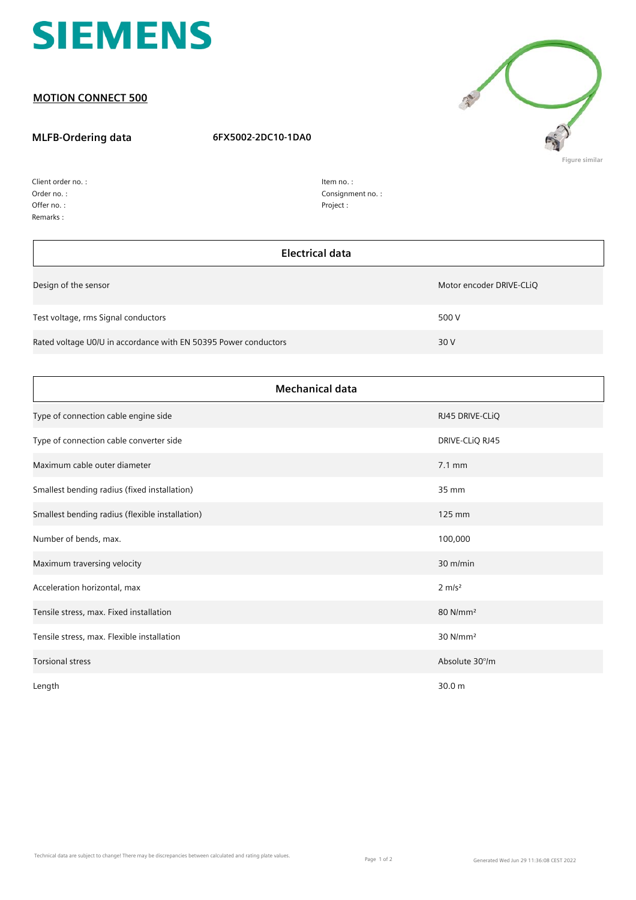

## **MOTION CONNECT 500**

## **MLFB-Ordering data 6FX5002-2DC10-1DA0**



Order no. : Offer no. : Client order no. : Remarks :

h

Item no. : Consignment no. : Project :

| Electrical data                                                 |                          |  |
|-----------------------------------------------------------------|--------------------------|--|
| Design of the sensor                                            | Motor encoder DRIVE-CLIQ |  |
| Test voltage, rms Signal conductors                             | 500 V                    |  |
| Rated voltage U0/U in accordance with EN 50395 Power conductors | 30 V                     |  |

| <b>Mechanical data</b>                          |                        |  |
|-------------------------------------------------|------------------------|--|
| Type of connection cable engine side            | RJ45 DRIVE-CLIQ        |  |
| Type of connection cable converter side         | DRIVE-CLIQ RJ45        |  |
| Maximum cable outer diameter                    | $7.1 \text{ mm}$       |  |
| Smallest bending radius (fixed installation)    | 35 mm                  |  |
| Smallest bending radius (flexible installation) | 125 mm                 |  |
| Number of bends, max.                           | 100,000                |  |
| Maximum traversing velocity                     | 30 m/min               |  |
| Acceleration horizontal, max                    | $2 \, \text{m/s}^2$    |  |
| Tensile stress, max. Fixed installation         | 80 N/mm <sup>2</sup>   |  |
| Tensile stress, max. Flexible installation      | $30$ N/mm <sup>2</sup> |  |
| <b>Torsional stress</b>                         | Absolute 30°/m         |  |
| Length                                          | 30.0 m                 |  |